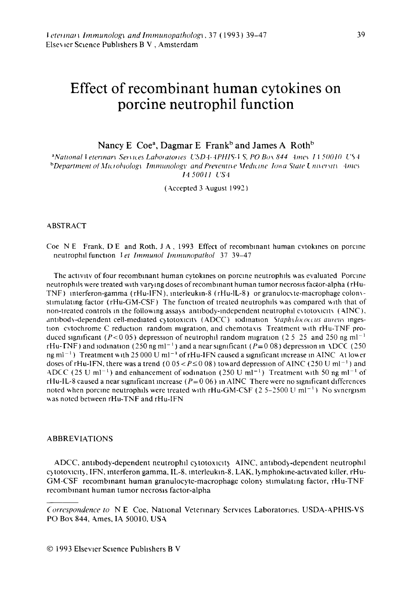# Effect of recombinant human cytokines on porcine neutrophil function

Nancy E Coe<sup>a</sup>, Dagmar E Frank<sup>b</sup> and James A Roth<sup>b</sup>

<sup>a</sup>National Veterinary Services Laboratories USD4-4PHIS-VS, PO Box 844 Ames 1150010 US4 bDepartment of Microbiology Immunology and Preventive Medicine Towa State University Ames 14.50011. US4

(Accepted 3 August 1992)

#### **ABSTRACT**

Coe NE Frank, DE and Roth, JA, 1993 Effect of recombinant human cytokines on porcine neutrophil function *Vet Immunol Immunopathol* 37 39-47

The activity of four recombinant human cytokines on porcine neutrophils was evaluated Porcine neutrophils were treated with varying doses of recombinant human tumor necrosis factor-alpha (rHu-TNF) interferon-gamma (rHu-IFN), interleukin-8 (rHu-IL-8) or granulocyte-macrophage colonystimulating factor (rHu-GM-CSF) The function of treated neutrophils was compared with that of non-treated controls in the following assays antibody-independent neutrophil extotoxicity (AINC), antibody-dependent cell-mediated cytotoxicity (ADCC) iodination Staphylococcus aureus ingestion cytochrome C reduction random migration, and chemotaxis Treatment with rHu-TNF produced significant ( $P < 0.05$ ) depression of neutrophil random migration (2.5.25 and 250 ng ml<sup>-1</sup> rHu-TNF) and iodination (250 ng ml<sup>-1</sup>) and a near significant ( $P=0.08$ ) depression in ADCC (250) ng ml<sup>-1</sup>) Treatment with 25 000 U ml<sup>-1</sup> of rHu-IFN caused a significant increase in AINC At lower doses of rHu-IFN, there was a trend (0 05 <  $P \le 0.08$ ) toward depression of AINC (250 U ml<sup>-1</sup>) and ADCC (25 U ml<sup>-1</sup>) and enhancement of iodination (250 U ml<sup>-1</sup>) Treatment with 50 ng ml<sup>-1</sup> of rHu-IL-8 caused a near significant increase ( $P=0.06$ ) in AINC There were no significant differences noted when porcine neutrophils were treated with rHu-GM-CSF (2 5-2500 U ml<sup>-1</sup>) No synergism was noted between rHu-TNF and rHu-IFN

### **ABBREVIATIONS**

ADCC, antibody-dependent neutrophil cytotoxicity AINC, antibody-dependent neutrophil cytotoxicity, IFN, interferon gamma, IL-8, interleukin-8, LAK, lymphokine-activated killer, rHu-GM-CSF recombinant human granulocyte-macrophage colony stimulating factor, rHu-TNF recombinant human tumor necrosis factor-alpha

Correspondence to NE Coe, National Veterinary Services Laboratories, USDA-APHIS-VS PO Box 844, Ames, IA 50010, USA

<sup>© 1993</sup> Elsevier Science Publishers B V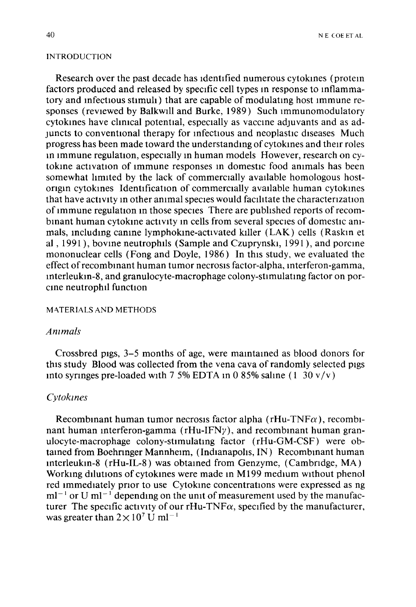### INTRODUCTION

Research over the past decade has Identified numerous cytokmes (protem factors produced and released by specific cell types m response to mflammatory and infectious stimuli) that are capable of modulating host immune responses (reviewed by Balkwill and Burke, I989) Such Immunomodulatory cytokmes have chmcal potential, especially as vaccme adJuvants and as adjuncts to conventional therapy for infectious and neoplastic diseases Much progress has been made toward the understandmg of cytokmes and their roles in immune regulation, especially in human models However, research on cytokine activation of immune responses in domestic food animals has been somewhat limited by the lack of commercially available homologous hostorigin cytokines Identification of commercially available human cytokines that have activity in other animal species would facilitate the characterization of immune regulation in those species There are published reports of recombmant human cytokme activity m cells from several species of domestic ammals, mcludmg camne lymphokme-activated klller (LAK) cells (Raskm et al, 1991), bovine neutrophils (Sample and Czuprynski, 1991), and porcine mononuclear cells (Fong and Doyle, I986) In this study, we evaluated the effect of recombinant human tumor necrosis factor-alpha, interferon-gamma, mterleukm-8, and granulocyte-macrophage colony-stlmulatmg factor on porcine neutrophil function

### MATERIALS AND METHODS

# *Ammals*

Crossbred pigs, 3-5 months of age, were mamtamed as blood donors for this study Blood was collected from the vena cava of randomly selected pigs into syringes pre-loaded with 7 5% EDTA in 0 85% saline  $(1\ 30\ v/v)$ 

### *Cytokznes*

Recombinant human tumor necrosis factor alpha ( $rHu-TNF\alpha$ ), recombinant human interferon-gamma ( $rHu-IFNy$ ), and recombinant human granulocyte-macrophage colony-stlmulatmg factor (rHu-GM-CSF) were obtained from Boehringer Mannheim, (Indianapolis, IN) Recombinant human mterleukm-8 (rHu-IL-8) was obtamed from Genzyme, (Cambndge, MA) Working dilutions of cytokines were made in M199 medium without phenol red immediately prior to use Cytokine concentrations were expressed as ng  $ml^{-1}$  or U ml<sup>-1</sup> depending on the unit of measurement used by the manufacturer The specific activity of our rHu-TNF $\alpha$ , specified by the manufacturer, was greater than  $2 \times 10^7$  U ml<sup>-1</sup>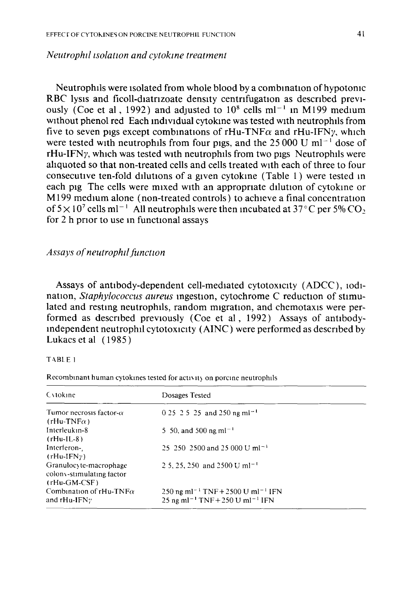# *Neutrophil isolation and cytokine treatment*

Neutrophils were isolated from whole blood by a combination of hypotonic RBC lysis and ficoll-diatrizoate density centrifugation as described previously (Coe et al., 1992) and adjusted to  $10^8$  cells ml<sup>-1</sup> in M199 medium without phenol red Each mdividual cytokme was tested with neutrophlls from five to seven pigs except combinations of rHu-TNF $\alpha$  and rHu-IFNy, which were tested with neutrophils from four pigs, and the  $25\,000$  U ml<sup>-1</sup> dose of  $rHu-IFN\gamma$ , which was tested with neutrophils from two pigs Neutrophils were ahquoted so that non-treated cells and cells treated with each of three to four consecutive ten-fold dilutions of a given cytokine (Table 1) were tested in each pig The cells were mixed with an appropriate dilution of cytokine or M 199 medium alone (non-treated controls) to achieve a final concentration of  $5 \times 10^7$  cells ml<sup>-1</sup> All neutrophils were then incubated at  $37^{\circ}$ C per 5% CO<sub>2</sub><sup>2</sup> for 2 h prior to use in functional assays

# Assays of neutrophil function

Assays of antibody-dependent cell-mediated cytotoxicity (ADCC), IOdination, *Staphylococcus aureus* ingestion, cytochrome C reduction of stimulated and resting neutrophils, random migration, and chemotaxis were performed as described previously (Coe et al, 1992) Assays of antibodymdependent neutrophil cytotoxicity ( AINC) were performed as descnbed by Lukacs et al ( 1985)

### TABLE 1

Recombinant human cytokines tested for activity on porcine neutrophils

| Cytokine                                                              | Dosages Tested                                                                                                       |
|-----------------------------------------------------------------------|----------------------------------------------------------------------------------------------------------------------|
| Tumor necrosis factor- $\alpha$<br>$(rHu-TNF\alpha)$                  | $0.25 \cdot 2.5 \cdot 2.5$ and 250 ng ml <sup>-1</sup>                                                               |
| Interleukin-8<br>$(rHu~IL-8)$                                         | 5 50, and 500 ng ml <sup>-1</sup>                                                                                    |
| Interferon-<br>$(rHu-IFNy)$                                           | 25, 250, 2500 and 25,000 U ml <sup>-1</sup>                                                                          |
| Granulocyte-macrophage<br>colony-stimulating factor<br>$(rHu-GM-CSF)$ | 2 5, 25, 250 and 2500 U ml <sup>-1</sup>                                                                             |
| Combination of rHu-TNF $\alpha$<br>and rHu-IFN <sub>?</sub>           | 250 ng ml <sup>-1</sup> TNF + 2500 U ml <sup>-1</sup> IFN<br>25 ng ml <sup>-1</sup> TNF + 250 U ml <sup>-1</sup> IFN |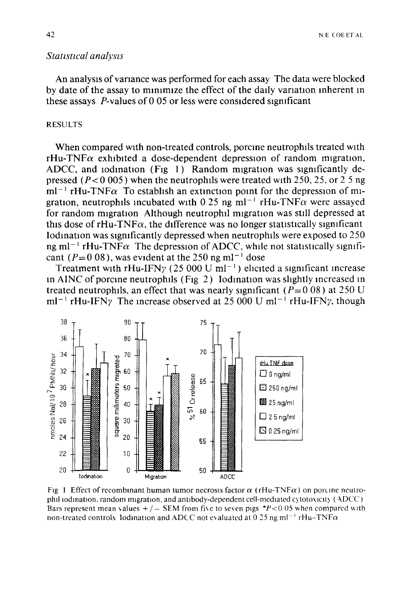# *Statistical analysis*

An analysts ofvanance was performed for each assay The data were blocked by date of the assay to minimize the effect of the daily variation inherent in these assays  $P$ -values of 0 05 or less were considered significant

### RESULTS

When compared with non-treated controls, porcine neutrophils treated with  $rHu-TNF\alpha$  exhibited a dose-dependent depression of random migration, ADCC, and iodination (Fig 1) Random migration was significantly depressed  $(P< 0.005)$  when the neutrophils were treated with 250, 25, or 2 5 ng  $ml^{-1}$  rHu-TNF $\alpha$  To establish an extinction point for the depression of migration, neutrophils incubated with 0.25 ng ml<sup>-1</sup> rHu-TNF $\alpha$  were assayed for random migration Although neutrophil migration was still depressed at this dose of  $rHu-TNF\alpha$ , the difference was no longer statistically significant Iodination was significantly depressed when neutrophils were exposed to  $250$ ng ml<sup>-1</sup> rHu-TNF $\alpha$  The depression of ADCC, while not statistically significant ( $P=0.08$ ), was evident at the 250 ng ml<sup>-1</sup> dose

Treatment with rHu-IFN $\gamma$  (25 000 U ml<sup>-1</sup>) elicited a significant increase in AINC of porcine neutrophils (Fig  $2)$  Iodination was slightly increased in treated neutrophils, an effect that was nearly significant ( $P=0.08$ ) at 250 U  $ml^{-1}$  rHu-IFNy The increase observed at 25 000 U ml<sup>-1</sup> rHu-IFNy, though



Fig 1 Effect of recombinant human tumor necrosis factor  $\alpha$  (rHu-TNF $\alpha$ ) on portine neutrophil iodination, random migration, and antibody-dependent cell-mediated cytotoxicity (ADCC) Bars represent mean values  $+ / -$  SEM from five to seven pigs  $*P < 0.05$  when compared with non-treated controls Iodination and ADCC not evaluated at 0.25 ng ml<sup>-1</sup> rHu-TNF $\alpha$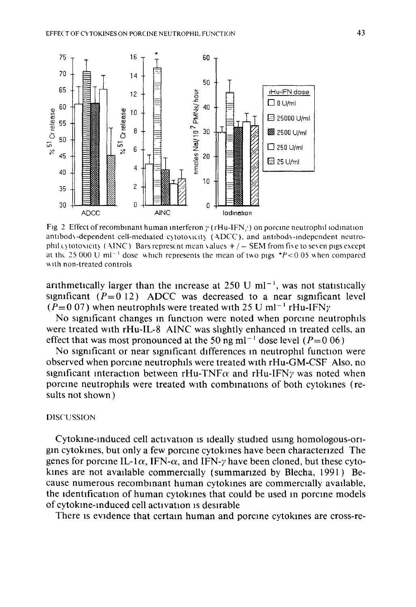

Fig. 2 Effect of recombinant human interferon  $\gamma$  (rHu-IFN, ) on porcine neutrophil iodination antibody-dependent cell-mediated cytotoxicity (ADCC), and antibody-independent neutrophil cytotoxicity (AINC) Bars represent mean values  $+/-$  SEM from five to seven pigs except at the 25 000 U ml<sup>-1</sup> dose which represents the mean of two pigs \*P<0.05 when compared with non-treated controls

arithmetically larger than the increase at 250 U ml<sup> $-1$ </sup>, was not statistically significant  $(P=0 12)$  ADCC was decreased to a near significant level  $(P=0.07)$  when neutrophils were treated with 25 U ml<sup>-1</sup> rHu-IFN<sub>*Y*</sub>

No significant changes in function were noted when porcine neutrophils were treated with rHu-IL-8 AINC was slightly enhanced in treated cells, an effect that was most pronounced at the 50 ng ml<sup>-1</sup> dose level ( $P=0.06$ )

No significant or near significant differences in neutrophil function were observed when porcine neutrophils were treated with rHu-GM-CSF Also, no significant interaction between  $rHu$ -TNF $\alpha$  and  $rHu$ -IFN $\gamma$  was noted when porcine neutrophils were treated with combinations of both cytokines (results not shown)

### **DISCUSSION**

Cytokine-induced cell activation is ideally studied using homologous-origin cytokines, but only a few porcine cytokines have been characterized. The genes for porcine IL-1 $\alpha$ , IFN- $\alpha$ , and IFN- $\gamma$  have been cloned, but these cytokines are not available commercially (summarized by Blecha, 1991) Because numerous recombinant human cytokines are commercially available, the identification of human cytokines that could be used in porcine models of cytokine-induced cell activation is desirable

There is evidence that certain human and porcine cytokines are cross-re-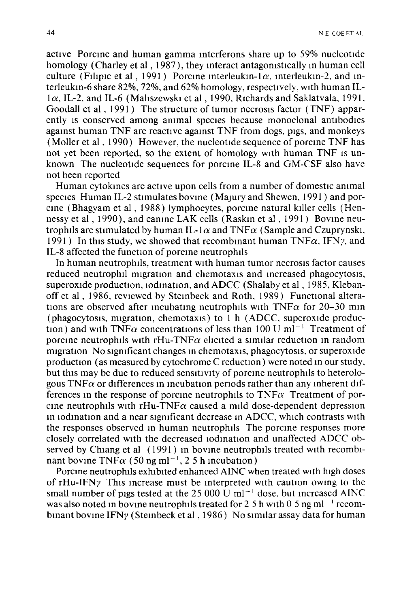active Porcme and human gamma mterferons share up to 59% nucleotide homology (Charley et al, 1987), they interact antagonistically in human cell culture (Filipic et al, 1991) Porcine interleukin-1 $\alpha$ , interleukin-2, and interleukm-6 share 82%, 72%, and 62% homology, respectively, w1th human IL- $1\alpha$ , IL-2, and IL-6 (Maliszewski et al, 1990, Richards and Saklatvala, 1991, Goodall et al, 1991) The structure of tumor necrosis factor (TNF) apparently IS conserved among ammal species because monoclonal antibodies against human TNF are reactive against TNF from dogs, pigs, and monkeys (Moller et al, 1990) However, the nucleotide sequence of porcine TNF has not yet been reported, so the extent of homology with human TNF IS unknown The nucleotide sequences for porcme IL-8 and GM-CSF also have not been reported

Human cytokmes are active upon cells from a number of domestic ammal species Human IL-2 stimulates bovine (Majury and Shewen, 1991) and porcme ( Bhagyam et al , 1988) lymphocytes, porcme natural killer cells (Hennessy et al, 1990), and canine LAK cells (Raskin et al, 1991) Bovine neutrophils are stimulated by human IL-1 $\alpha$  and TNF $\alpha$  (Sample and Czuprynski, 1991) In this study, we showed that recombinant human  $TNF\alpha$ , IFNy, and IL-8 affected the function of porcine neutrophils

In human neutrophils, treatment with human tumor necrosis factor causes reduced neutrophil migration and chemotaxis and increased phagocytosis, superoxide production, iodination, and ADCC (Shalaby et al,  $1985$ , Klebanoff et al, 1986, reviewed by Steinbeck and Roth, 1989) Functional alterations are observed after incubating neutrophils with  $TNF\alpha$  for 20–30 min (phagocytosis, migration, chemotaxis) to  $1 h$  (ADCC, superoxide production) and with TNF $\alpha$  concentrations of less than 100 U ml<sup>-1</sup> Treatment of porcine neutrophils with rHu-TNF $\alpha$  elicited a similar reduction in random migration No significant changes in chemotaxis, phagocytosis, or superoxide production (as measured by cytochrome C reduction) were noted in our study, but this may be due to reduced sensitivity of porcine neutrophils to heterologous TNF $\alpha$  or differences in incubation periods rather than any inherent differences in the response of porcine neutrophils to  $TNF\alpha$  Treatment of porcine neutrophils with rHu-TNF $\alpha$  caused a mild dose-dependent depression in iodination and a near significant decrease in ADCC, which contrasts with the responses observed in human neutrophils. The porcine responses more closely correlated with the decreased iodination and unaffected ADCC observed by Chiang et al (1991) in bovine neutrophils treated with recombinant bovine TNF $\alpha$  (50 ng ml<sup>-1</sup>, 2 5 h incubation)

Porcme neutrophils exhibited enhanced AINC when treated with high doses of rHu-IFN $\gamma$  This increase must be interpreted with caution owing to the small number of pigs tested at the 25 000 U ml<sup> $-1$ </sup> dose, but increased AINC was also noted in bovine neutrophils treated for 2 5 h with 0 5 ng m $l^{-1}$  recombinant bovine IFNy (Steinbeck et al, 1986) No similar assay data for human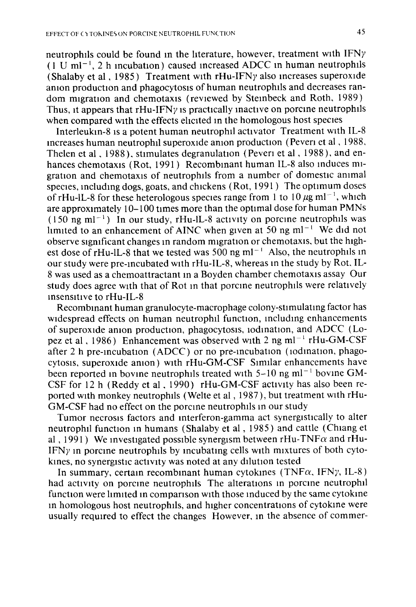neutrophils could be found m the literature, however, treatment with IFNy  $(1 \text{ U ml}^{-1}, 2 \text{ h}$  incubation) caused increased ADCC in human neutrophils (Shalaby et al, 1985) Treatment with  $rHu-IFNy$  also increases superoxide anion production and phagocytosis of human neutrophils and decreases random migration and chemotaxis (reviewed by Steinbeck and Roth, 1989) Thus, it appears that  $rHu-IFNy$  is practically inactive on porcine neutrophils when compared with the effects elicited in the homologous host species

Interleukm-8 IS a potent human neutrophil activator Treatment with IL-8 mcreases human neutrophil superoxide anion production (Peveri et al, 1988, Thelen et al, 1988), stimulates degranulation (Peveri et al, 1988), and enhances chemotaxis (Rot, 1991) Recombinant human IL-8 also induces migration and chemotaxis of neutrophils from a number of domestic animal species, including dogs, goats, and chickens (Rot, 1991) The optimum doses of rHu-lL-8 for these heterologous species range from 1 to 10  $\mu$ g ml<sup>-1</sup>, which are approximately 10-100 times more than the optimal dose for human PMNs  $(150 \text{ ng ml}^{-1})$  In our study, rHu-lL-8 activity on porcine neutrophils was limited to an enhancement of AINC when given at 50 ng ml<sup>-1</sup> We did not observe significant changes in random migration or chemotaxis, but the highest dose of rHu-IL-8 that we tested was  $500$  ng ml<sup>-1</sup> Also, the neutrophils in our study were pre-mcubated wtth rHu-IL-8, whereas m the study by Rot, IL-8 was used as a chemoattractant m a Boyden chamber chemotaxis assay Our study does agree with that of Rot in that porcine neutrophils were relatively insensitive to rHu-IL-8

Recombinant human granulocyte-macrophage colony-stimulating factor has widespread effects on human neutrophil function, including enhancements of superoxide amon production, phagocytosis, iodination, and ADCC (Lopez et al, 1986) Enhancement was observed with 2 ng m $l^{-1}$  rHu-GM-CSF after 2 h pre-incubation (ADCC) or no pre-incubation (iodination, phagocytosis, superoxide amon) with rHu-GM-CSF Similar enhancements have been reported in bovine neutrophils treated with  $5-10$  ng m $l^{-1}$  bovine GM-CSF for 12 h (Reddy et al, 1990) rHu-GM-CSF actlvtty has also been reported with monkey neutrophils (Welte et al, 1987), but treatment with rHu-GM-CSF had no effect on the porcine neutrophils in our study

Tumor necrosis factors and mterferon-gamma act synergistically to alter neutrophil function in humans (Shalaby et al, 1985) and cattle (Chiang et al , 1991) We investigated possible synergism between rHu-TNF $\alpha$  and rHu-IFN $\gamma$  in porcine neutrophils by incubating cells with mixtures of both cytokines, no synergistic activity was noted at any dilution tested

In summary, certain recombinant human cytokines (TNF $\alpha$ , IFN $\gamma$ , IL-8) had activity on porcine neutrophils. The alterations in porcine neutrophil function were limited in comparison with those induced by the same cytokine m homologous host neutrophils, and htgher concentrations of cytokme were usually required to effect the changes However, in the absence of commer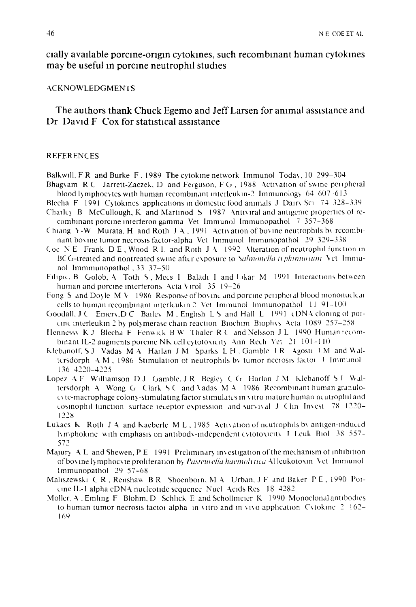cially available porcine-origin cytokines, such recombinant human cytokines may be useful in porcine neutrophil studies

### **ACKNOWLEDGMENTS**

The authors thank Chuck Egemo and Jeff Larsen for animal assistance and Dr. David F. Cox for statistical assistance

#### **REFERENCES**

Balkwill, F R and Burke F, 1989 The cytokine network Immunol Today, 10 299-304 Bhagyam R.C. Jarrett-Zaczek, D. and Ferguson, F.G., 1988. Activation of swine peripheral

- blood lymphocytes with human recombinant interleukin-2 Immunology  $64,607-613$ Blecha F 1991 Cytokines applications in domestic food animals J Dairy Sci 74 328-339
- Charley B. McCullough, K. and Martinod 5, 1987. Antiviral and antigenic properties of recombinant porcine interferon gamma Vet Immunol Immunopathol 7 357-368
- Chiang Y-W Murata, H and Roth J A, 1991 Activation of bovine neutrophils by recombinant bovine tumor necrosis factor-alpha Vet Immunol Immunopathol 29 329-338
- Coe NE Frank DE, Wood RL and Roth JA 1992 Alteration of neutrophil function in BCG-treated and nontreated swine after exposure to Salmonella typhinumum Vet Immunol Immmunopathol, 33 37-50
- Filipic, B Golob, A Toth 5, Mecs I Baladi I and Likar M 1991 Interactions between human and porcine interferons Acta Virol 35 19-26
- Fong S and Doyle  $M_V$  1986. Response of bovinc and porcine peripheral blood mononuclear cells to human recombinant interleukin 2 Vet Immunol Immunopathol 11 91-100
- Goodall, J.C. Emery, D.C. Bailey M., English L.S. and Hall L. 1991 (DNA cloning of poicinc interleukin 2 by polymerase chain reaction Biochim Biophys Acta 1089 257-258
- Hennessy K J Blecha F Fenwick B W Thaler R C and Nelsson J L 1990 Human recombinant IL-2 augments porcine NK cell cytotoxicity. Ann. Rech. Vet.  $21, 101-110$
- Klebanoff, SJ Vadas MA Harlan JM Sparks LH, Gamble IR Agosti IM and Waltersdorph A.M., 1986. Stimulation of neutrophils by tumor necrosis factor J. Immunol 136 4220-4225
- Lopez A F Williamson D J Gamble, J R Begley C G Harlan J M Klebanoff S J Waltersdorph A Wong G Clark SC and Vadas M A 1986 Recombinant human granulocyte-macrophage colony-stimulating factor stimulates in vitro mature human neutrophil and cosinophil function, surface receptor expression, and survival J. Clin. Invest 78, 1220-1228
- Lukacs K Roth J A and Kaeberle M L, 1985. Activation of neutrophils by antigen-induced lymphokine with emphasis on antibody-independent cytotoxicity J. Leuk Biol. 38, 557-572
- Majury A.L. and Shewen, P.E. 1991. Preliminary investigation of the mechanism of inhibition of bovine lymphocyte proliferation by Pasteurella haemolytica Al leukotovin Vet Immunol Immunopathol 29 57-68
- Maliszewski C R, Renshaw B R Shoenborn, M A Urban, J F and Baker P E, 1990 Poicine IL-1 alpha cDNA nucleotide sequence Nucl Acids Res 18 4282
- Moller, A, Emling F. Blohm, D. Schlick E and Schollmeter K. 1990. Monoclonal antibodies to human tumor necrosis factor alpha in vitro and in vivo application Cytokine  $2\sqrt{162-1}$ 169